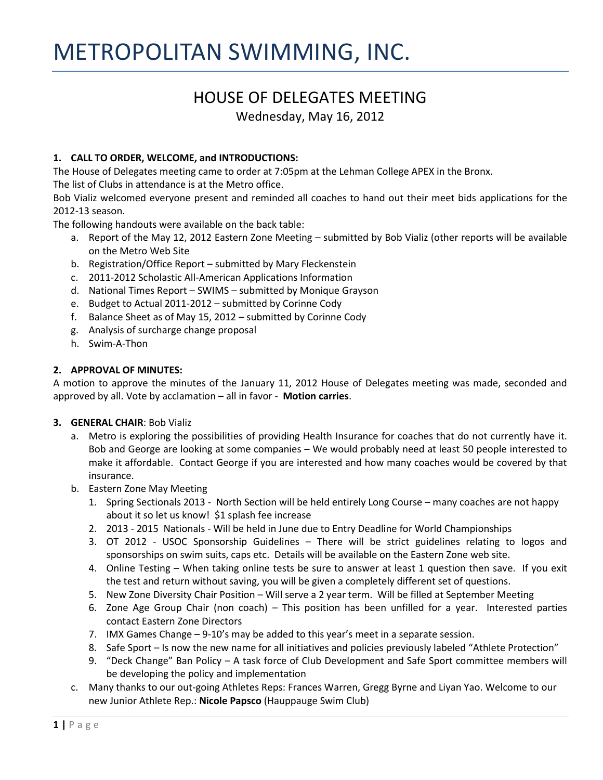# HOUSE OF DELEGATES MEETING

Wednesday, May 16, 2012

# **1. CALL TO ORDER, WELCOME, and INTRODUCTIONS:**

The House of Delegates meeting came to order at 7:05pm at the Lehman College APEX in the Bronx.

The list of Clubs in attendance is at the Metro office.

Bob Vializ welcomed everyone present and reminded all coaches to hand out their meet bids applications for the 2012-13 season.

The following handouts were available on the back table:

- a. Report of the May 12, 2012 Eastern Zone Meeting submitted by Bob Vializ (other reports will be available on the Metro Web Site
- b. Registration/Office Report submitted by Mary Fleckenstein
- c. 2011-2012 Scholastic All-American Applications Information
- d. National Times Report SWIMS submitted by Monique Grayson
- e. Budget to Actual 2011-2012 submitted by Corinne Cody
- f. Balance Sheet as of May 15, 2012 submitted by Corinne Cody
- g. Analysis of surcharge change proposal
- h. Swim-A-Thon

#### **2. APPROVAL OF MINUTES:**

A motion to approve the minutes of the January 11, 2012 House of Delegates meeting was made, seconded and approved by all. Vote by acclamation – all in favor - **Motion carries**.

#### **3. GENERAL CHAIR**: Bob Vializ

- a. Metro is exploring the possibilities of providing Health Insurance for coaches that do not currently have it. Bob and George are looking at some companies – We would probably need at least 50 people interested to make it affordable. Contact George if you are interested and how many coaches would be covered by that insurance.
- b. Eastern Zone May Meeting
	- 1. Spring Sectionals 2013 North Section will be held entirely Long Course many coaches are not happy about it so let us know! \$1 splash fee increase
	- 2. 2013 2015 Nationals Will be held in June due to Entry Deadline for World Championships
	- 3. OT 2012 USOC Sponsorship Guidelines There will be strict guidelines relating to logos and sponsorships on swim suits, caps etc. Details will be available on the Eastern Zone web site.
	- 4. Online Testing When taking online tests be sure to answer at least 1 question then save. If you exit the test and return without saving, you will be given a completely different set of questions.
	- 5. New Zone Diversity Chair Position Will serve a 2 year term. Will be filled at September Meeting
	- 6. Zone Age Group Chair (non coach) This position has been unfilled for a year. Interested parties contact Eastern Zone Directors
	- 7. IMX Games Change 9-10's may be added to this year's meet in a separate session.
	- 8. Safe Sport Is now the new name for all initiatives and policies previously labeled "Athlete Protection"
	- 9. "Deck Change" Ban Policy A task force of Club Development and Safe Sport committee members will be developing the policy and implementation
- c. Many thanks to our out-going Athletes Reps: Frances Warren, Gregg Byrne and Liyan Yao. Welcome to our new Junior Athlete Rep.: **Nicole Papsco** (Hauppauge Swim Club)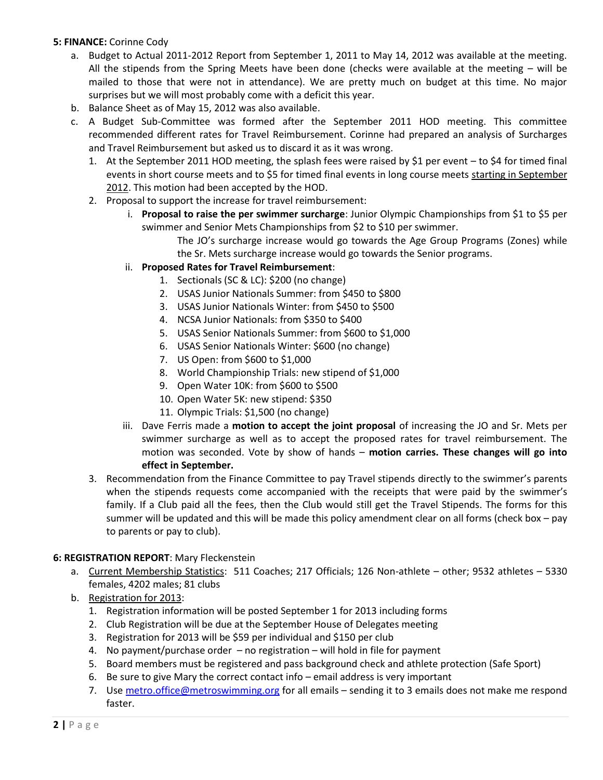#### **5: FINANCE:** Corinne Cody

- a. Budget to Actual 2011-2012 Report from September 1, 2011 to May 14, 2012 was available at the meeting. All the stipends from the Spring Meets have been done (checks were available at the meeting – will be mailed to those that were not in attendance). We are pretty much on budget at this time. No major surprises but we will most probably come with a deficit this year.
- b. Balance Sheet as of May 15, 2012 was also available.
- c. A Budget Sub-Committee was formed after the September 2011 HOD meeting. This committee recommended different rates for Travel Reimbursement. Corinne had prepared an analysis of Surcharges and Travel Reimbursement but asked us to discard it as it was wrong.
	- 1. At the September 2011 HOD meeting, the splash fees were raised by \$1 per event to \$4 for timed final events in short course meets and to \$5 for timed final events in long course meets starting in September 2012. This motion had been accepted by the HOD.
	- 2. Proposal to support the increase for travel reimbursement:
		- i. **Proposal to raise the per swimmer surcharge**: Junior Olympic Championships from \$1 to \$5 per swimmer and Senior Mets Championships from \$2 to \$10 per swimmer.

The JO's surcharge increase would go towards the Age Group Programs (Zones) while the Sr. Mets surcharge increase would go towards the Senior programs.

- ii. **Proposed Rates for Travel Reimbursement**:
	- 1. Sectionals (SC & LC): \$200 (no change)
	- 2. USAS Junior Nationals Summer: from \$450 to \$800
	- 3. USAS Junior Nationals Winter: from \$450 to \$500
	- 4. NCSA Junior Nationals: from \$350 to \$400
	- 5. USAS Senior Nationals Summer: from \$600 to \$1,000
	- 6. USAS Senior Nationals Winter: \$600 (no change)
	- 7. US Open: from \$600 to \$1,000
	- 8. World Championship Trials: new stipend of \$1,000
	- 9. Open Water 10K: from \$600 to \$500
	- 10. Open Water 5K: new stipend: \$350
	- 11. Olympic Trials: \$1,500 (no change)
- iii. Dave Ferris made a **motion to accept the joint proposal** of increasing the JO and Sr. Mets per swimmer surcharge as well as to accept the proposed rates for travel reimbursement. The motion was seconded. Vote by show of hands – **motion carries. These changes will go into effect in September.**
- 3. Recommendation from the Finance Committee to pay Travel stipends directly to the swimmer's parents when the stipends requests come accompanied with the receipts that were paid by the swimmer's family. If a Club paid all the fees, then the Club would still get the Travel Stipends. The forms for this summer will be updated and this will be made this policy amendment clear on all forms (check box – pay to parents or pay to club).

#### **6: REGISTRATION REPORT**: Mary Fleckenstein

- a. Current Membership Statistics: 511 Coaches; 217 Officials; 126 Non-athlete other; 9532 athletes 5330 females, 4202 males; 81 clubs
- b. Registration for 2013:
	- 1. Registration information will be posted September 1 for 2013 including forms
	- 2. Club Registration will be due at the September House of Delegates meeting
	- 3. Registration for 2013 will be \$59 per individual and \$150 per club
	- 4. No payment/purchase order no registration will hold in file for payment
	- 5. Board members must be registered and pass background check and athlete protection (Safe Sport)
	- 6. Be sure to give Mary the correct contact info email address is very important
	- 7. Use [metro.office@metroswimming.org](mailto:metro.office@metroswimming.org) for all emails sending it to 3 emails does not make me respond faster.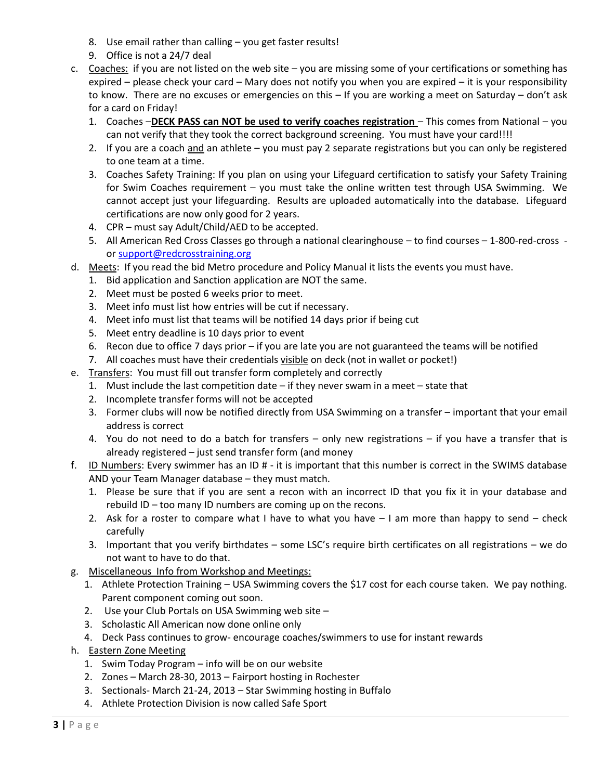- 8. Use email rather than calling you get faster results!
- 9. Office is not a 24/7 deal
- c. Coaches: if you are not listed on the web site you are missing some of your certifications or something has expired – please check your card – Mary does not notify you when you are expired – it is your responsibility to know. There are no excuses or emergencies on this – If you are working a meet on Saturday – don't ask for a card on Friday!
	- 1. Coaches –**DECK PASS can NOT be used to verify coaches registration**  This comes from National you can not verify that they took the correct background screening. You must have your card!!!!
	- 2. If you are a coach and an athlete you must pay 2 separate registrations but you can only be registered to one team at a time.
	- 3. Coaches Safety Training: If you plan on using your Lifeguard certification to satisfy your Safety Training for Swim Coaches requirement – you must take the online written test through USA Swimming. We cannot accept just your lifeguarding. Results are uploaded automatically into the database. Lifeguard certifications are now only good for 2 years.
	- 4. CPR must say Adult/Child/AED to be accepted.
	- 5. All American Red Cross Classes go through a national clearinghouse to find courses 1-800-red-cross or [support@redcrosstraining.org](mailto:support@redcrosstraining.org)
- d. Meets: If you read the bid Metro procedure and Policy Manual it lists the events you must have.
	- 1. Bid application and Sanction application are NOT the same.
	- 2. Meet must be posted 6 weeks prior to meet.
	- 3. Meet info must list how entries will be cut if necessary.
	- 4. Meet info must list that teams will be notified 14 days prior if being cut
	- 5. Meet entry deadline is 10 days prior to event
	- 6. Recon due to office 7 days prior if you are late you are not guaranteed the teams will be notified
	- 7. All coaches must have their credentials visible on deck (not in wallet or pocket!)
- e. Transfers: You must fill out transfer form completely and correctly
	- 1. Must include the last competition date if they never swam in a meet state that
	- 2. Incomplete transfer forms will not be accepted
	- 3. Former clubs will now be notified directly from USA Swimming on a transfer important that your email address is correct
	- 4. You do not need to do a batch for transfers only new registrations if you have a transfer that is already registered – just send transfer form (and money
- f. ID Numbers: Every swimmer has an ID # it is important that this number is correct in the SWIMS database AND your Team Manager database – they must match.
	- 1. Please be sure that if you are sent a recon with an incorrect ID that you fix it in your database and rebuild ID – too many ID numbers are coming up on the recons.
	- 2. Ask for a roster to compare what I have to what you have  $-1$  am more than happy to send  $-$  check carefully
	- 3. Important that you verify birthdates some LSC's require birth certificates on all registrations we do not want to have to do that.
- g. Miscellaneous Info from Workshop and Meetings:
	- 1. Athlete Protection Training USA Swimming covers the \$17 cost for each course taken. We pay nothing. Parent component coming out soon.
	- 2. Use your Club Portals on USA Swimming web site –
	- 3. Scholastic All American now done online only
	- 4. Deck Pass continues to grow- encourage coaches/swimmers to use for instant rewards
- h. Eastern Zone Meeting
	- 1. Swim Today Program info will be on our website
	- 2. Zones March 28-30, 2013 Fairport hosting in Rochester
	- 3. Sectionals- March 21-24, 2013 Star Swimming hosting in Buffalo
	- 4. Athlete Protection Division is now called Safe Sport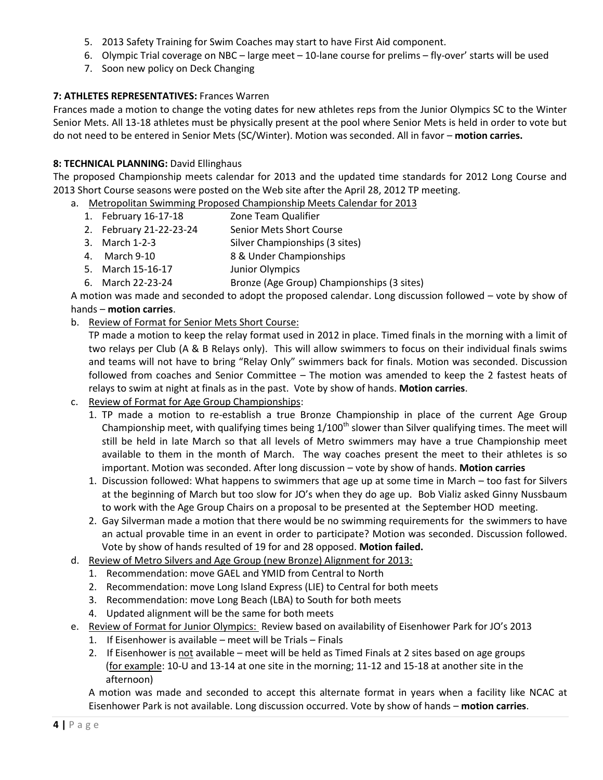- 5. 2013 Safety Training for Swim Coaches may start to have First Aid component.
- 6. Olympic Trial coverage on NBC large meet 10-lane course for prelims fly-over' starts will be used
- 7. Soon new policy on Deck Changing

# **7: ATHLETES REPRESENTATIVES:** Frances Warren

Frances made a motion to change the voting dates for new athletes reps from the Junior Olympics SC to the Winter Senior Mets. All 13-18 athletes must be physically present at the pool where Senior Mets is held in order to vote but do not need to be entered in Senior Mets (SC/Winter). Motion was seconded. All in favor – **motion carries.**

# **8: TECHNICAL PLANNING:** David Ellinghaus

The proposed Championship meets calendar for 2013 and the updated time standards for 2012 Long Course and 2013 Short Course seasons were posted on the Web site after the April 28, 2012 TP meeting.

- a. Metropolitan Swimming Proposed Championship Meets Calendar for 2013
	- 1. February 16-17-18 Zone Team Qualifier
	- 2. February 21-22-23-24 Senior Mets Short Course
	- 3. March 1-2-3 Silver Championships (3 sites)
	- 4. March 9-10 8 & Under Championships
	- 5. March 15-16-17 Junior Olympics
	- 6. March 22-23-24 Bronze (Age Group) Championships (3 sites)

A motion was made and seconded to adopt the proposed calendar. Long discussion followed – vote by show of hands – **motion carries**.

# b. Review of Format for Senior Mets Short Course:

TP made a motion to keep the relay format used in 2012 in place. Timed finals in the morning with a limit of two relays per Club (A & B Relays only). This will allow swimmers to focus on their individual finals swims and teams will not have to bring "Relay Only" swimmers back for finals. Motion was seconded. Discussion followed from coaches and Senior Committee – The motion was amended to keep the 2 fastest heats of relays to swim at night at finals as in the past. Vote by show of hands. **Motion carries**.

- c. Review of Format for Age Group Championships:
	- 1. TP made a motion to re-establish a true Bronze Championship in place of the current Age Group Championship meet, with qualifying times being  $1/100<sup>th</sup>$  slower than Silver qualifying times. The meet will still be held in late March so that all levels of Metro swimmers may have a true Championship meet available to them in the month of March. The way coaches present the meet to their athletes is so important. Motion was seconded. After long discussion – vote by show of hands. **Motion carries**
	- 1. Discussion followed: What happens to swimmers that age up at some time in March too fast for Silvers at the beginning of March but too slow for JO's when they do age up. Bob Vializ asked Ginny Nussbaum to work with the Age Group Chairs on a proposal to be presented at the September HOD meeting.
	- 2. Gay Silverman made a motion that there would be no swimming requirements for the swimmers to have an actual provable time in an event in order to participate? Motion was seconded. Discussion followed. Vote by show of hands resulted of 19 for and 28 opposed. **Motion failed.**
- d. Review of Metro Silvers and Age Group (new Bronze) Alignment for 2013:
	- 1. Recommendation: move GAEL and YMID from Central to North
	- 2. Recommendation: move Long Island Express (LIE) to Central for both meets
	- 3. Recommendation: move Long Beach (LBA) to South for both meets
	- 4. Updated alignment will be the same for both meets
- e. Review of Format for Junior Olympics: Review based on availability of Eisenhower Park for JO's 2013
	- 1. If Eisenhower is available meet will be Trials Finals
	- 2. If Eisenhower is not available meet will be held as Timed Finals at 2 sites based on age groups (for example: 10-U and 13-14 at one site in the morning; 11-12 and 15-18 at another site in the afternoon)

A motion was made and seconded to accept this alternate format in years when a facility like NCAC at Eisenhower Park is not available. Long discussion occurred. Vote by show of hands – **motion carries**.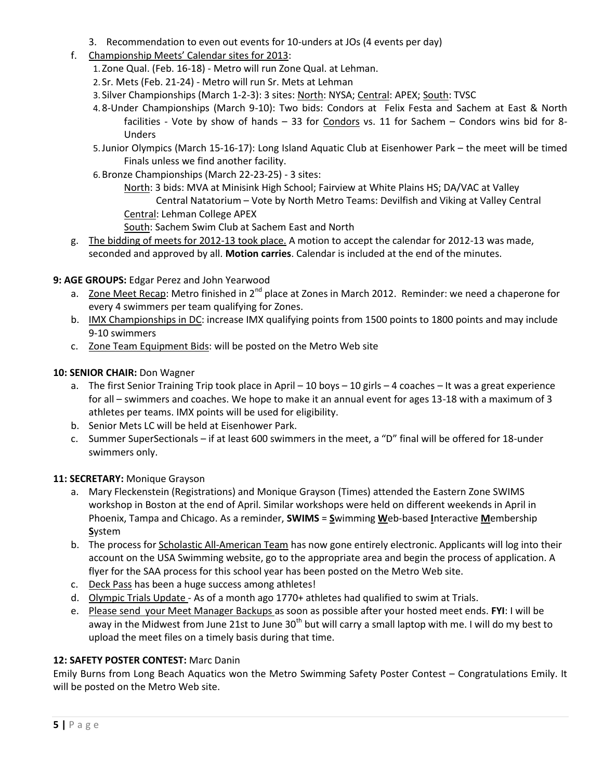- 3. Recommendation to even out events for 10-unders at JOs (4 events per day)
- f. Championship Meets' Calendar sites for 2013:
	- 1. Zone Qual. (Feb. 16-18) Metro will run Zone Qual. at Lehman.
	- 2. Sr. Mets (Feb. 21-24) Metro will run Sr. Mets at Lehman
	- 3. Silver Championships (March 1-2-3): 3 sites: North: NYSA; Central: APEX; South: TVSC
	- 4. 8-Under Championships (March 9-10): Two bids: Condors at Felix Festa and Sachem at East & North facilities - Vote by show of hands - 33 for Condors vs. 11 for Sachem - Condors wins bid for 8-Unders
	- 5.Junior Olympics (March 15-16-17): Long Island Aquatic Club at Eisenhower Park the meet will be timed Finals unless we find another facility.
	- 6.Bronze Championships (March 22-23-25) 3 sites:
		- North: 3 bids: MVA at Minisink High School; Fairview at White Plains HS; DA/VAC at Valley Central Natatorium – Vote by North Metro Teams: Devilfish and Viking at Valley Central Central: Lehman College APEX
		- South: Sachem Swim Club at Sachem East and North
- g. The bidding of meets for 2012-13 took place. A motion to accept the calendar for 2012-13 was made, seconded and approved by all. **Motion carries**. Calendar is included at the end of the minutes.
- **9: AGE GROUPS:** Edgar Perez and John Yearwood
	- a. Zone Meet Recap: Metro finished in 2<sup>nd</sup> place at Zones in March 2012. Reminder: we need a chaperone for every 4 swimmers per team qualifying for Zones.
	- b. IMX Championships in DC: increase IMX qualifying points from 1500 points to 1800 points and may include 9-10 swimmers
	- c. Zone Team Equipment Bids: will be posted on the Metro Web site

# 10: SENIOR CHAIR: Don Wagner

- a. The first Senior Training Trip took place in April 10 boys 10 girls 4 coaches It was a great experience for all – swimmers and coaches. We hope to make it an annual event for ages 13-18 with a maximum of 3 athletes per teams. IMX points will be used for eligibility.
- b. Senior Mets LC will be held at Eisenhower Park.
- c. Summer SuperSectionals if at least 600 swimmers in the meet, a "D" final will be offered for 18-under swimmers only.

# **11: SECRETARY:** Monique Grayson

- a. Mary Fleckenstein (Registrations) and Monique Grayson (Times) attended the Eastern Zone SWIMS workshop in Boston at the end of April. Similar workshops were held on different weekends in April in Phoenix, Tampa and Chicago. As a reminder, **SWIMS** = **S**wimming **W**eb-based **I**nteractive **M**embership **S**ystem
- b. The process for Scholastic All-American Team has now gone entirely electronic. Applicants will log into their account on the USA Swimming website, go to the appropriate area and begin the process of application. A flyer for the SAA process for this school year has been posted on the Metro Web site.
- c. Deck Pass has been a huge success among athletes!
- d. Olympic Trials Update As of a month ago 1770+ athletes had qualified to swim at Trials.
- e. Please send your Meet Manager Backups as soon as possible after your hosted meet ends. **FYI**: I will be away in the Midwest from June 21st to June  $30<sup>th</sup>$  but will carry a small laptop with me. I will do my best to upload the meet files on a timely basis during that time.

# **12: SAFETY POSTER CONTEST:** Marc Danin

Emily Burns from Long Beach Aquatics won the Metro Swimming Safety Poster Contest – Congratulations Emily. It will be posted on the Metro Web site.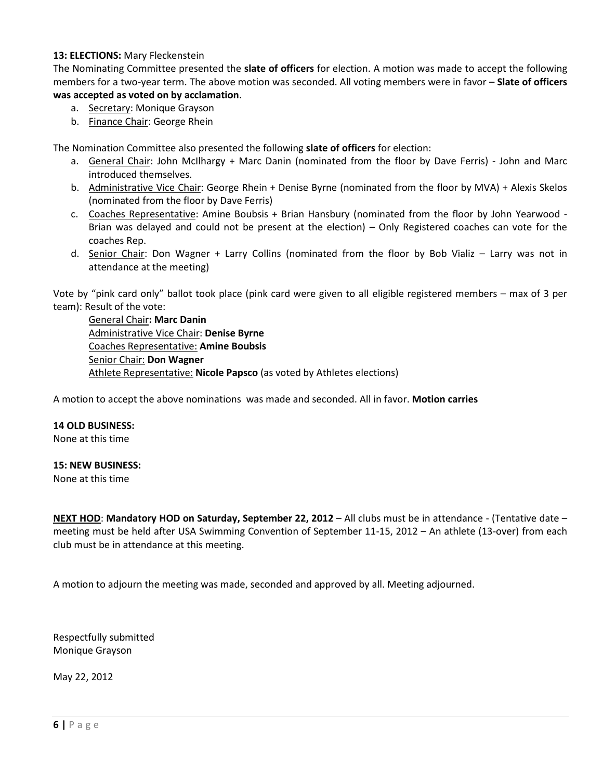#### **13: ELECTIONS:** Mary Fleckenstein

The Nominating Committee presented the **slate of officers** for election. A motion was made to accept the following members for a two-year term. The above motion was seconded. All voting members were in favor – **Slate of officers was accepted as voted on by acclamation**.

- a. Secretary: Monique Grayson
- b. Finance Chair: George Rhein

The Nomination Committee also presented the following **slate of officers** for election:

- a. General Chair: John McIlhargy + Marc Danin (nominated from the floor by Dave Ferris) John and Marc introduced themselves.
- b. Administrative Vice Chair: George Rhein + Denise Byrne (nominated from the floor by MVA) + Alexis Skelos (nominated from the floor by Dave Ferris)
- c. Coaches Representative: Amine Boubsis + Brian Hansbury (nominated from the floor by John Yearwood Brian was delayed and could not be present at the election) – Only Registered coaches can vote for the coaches Rep.
- d. Senior Chair: Don Wagner + Larry Collins (nominated from the floor by Bob Vializ Larry was not in attendance at the meeting)

Vote by "pink card only" ballot took place (pink card were given to all eligible registered members – max of 3 per team): Result of the vote:

General Chair**: Marc Danin** Administrative Vice Chair: **Denise Byrne** Coaches Representative: **Amine Boubsis** Senior Chair: **Don Wagner** Athlete Representative: **Nicole Papsco** (as voted by Athletes elections)

A motion to accept the above nominations was made and seconded. All in favor. **Motion carries**

#### **14 OLD BUSINESS:**

None at this time

#### **15: NEW BUSINESS:**

None at this time

**NEXT HOD**: **Mandatory HOD on Saturday, September 22, 2012** – All clubs must be in attendance - (Tentative date – meeting must be held after USA Swimming Convention of September 11-15, 2012 – An athlete (13-over) from each club must be in attendance at this meeting.

A motion to adjourn the meeting was made, seconded and approved by all. Meeting adjourned.

Respectfully submitted Monique Grayson

May 22, 2012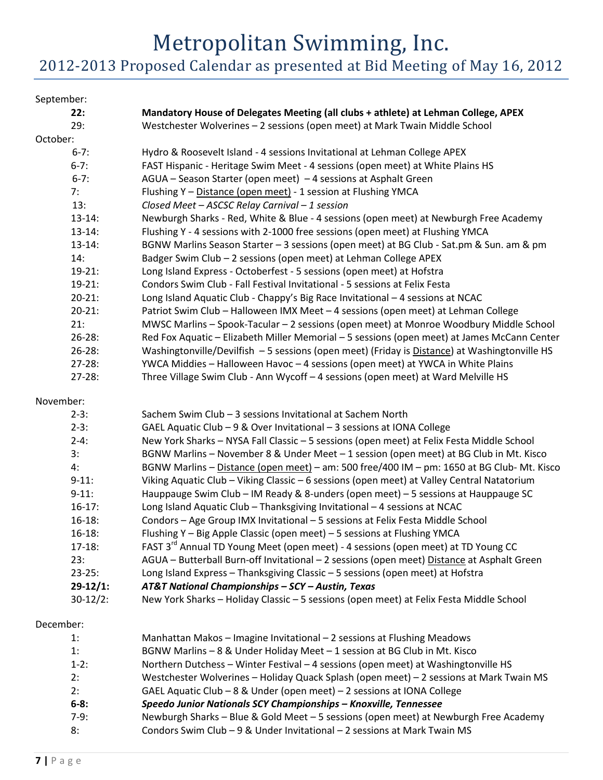# Metropolitan Swimming, Inc. 2012-2013 Proposed Calendar as presented at Bid Meeting of May 16, 2012

# September: **22: Mandatory House of Delegates Meeting (all clubs + athlete) at Lehman College, APEX** 29: Westchester Wolverines – 2 sessions (open meet) at Mark Twain Middle School October: 6-7: Hydro & Roosevelt Island - 4 sessions Invitational at Lehman College APEX 6-7: FAST Hispanic - Heritage Swim Meet - 4 sessions (open meet) at White Plains HS 6-7: AGUA – Season Starter (open meet) – 4 sessions at Asphalt Green 7: Flushing Y – Distance (open meet) - 1 session at Flushing YMCA 13: *Closed Meet – ASCSC Relay Carnival – 1 session* 13-14: Newburgh Sharks - Red, White & Blue - 4 sessions (open meet) at Newburgh Free Academy 13-14: Flushing Y - 4 sessions with 2-1000 free sessions (open meet) at Flushing YMCA 13-14: BGNW Marlins Season Starter – 3 sessions (open meet) at BG Club - Sat.pm & Sun. am & pm 14: Badger Swim Club – 2 sessions (open meet) at Lehman College APEX 19-21: Long Island Express - Octoberfest - 5 sessions (open meet) at Hofstra 19-21: Condors Swim Club - Fall Festival Invitational - 5 sessions at Felix Festa 20-21: Long Island Aquatic Club - Chappy's Big Race Invitational – 4 sessions at NCAC 20-21: Patriot Swim Club – Halloween IMX Meet – 4 sessions (open meet) at Lehman College 21: MWSC Marlins – Spook-Tacular – 2 sessions (open meet) at Monroe Woodbury Middle School 26-28: Red Fox Aquatic – Elizabeth Miller Memorial – 5 sessions (open meet) at James McCann Center 26-28: Washingtonville/Devilfish – 5 sessions (open meet) (Friday is Distance) at Washingtonville HS 27-28: YWCA Middies – Halloween Havoc – 4 sessions (open meet) at YWCA in White Plains 27-28: Three Village Swim Club - Ann Wycoff – 4 sessions (open meet) at Ward Melville HS November: 2-3: Sachem Swim Club – 3 sessions Invitational at Sachem North 2-3: GAEL Aquatic Club – 9 & Over Invitational – 3 sessions at IONA College 2-4: New York Sharks – NYSA Fall Classic – 5 sessions (open meet) at Felix Festa Middle School 3: BGNW Marlins – November 8 & Under Meet – 1 session (open meet) at BG Club in Mt. Kisco 4: BGNW Marlins – Distance (open meet) – am: 500 free/400 IM – pm: 1650 at BG Club- Mt. Kisco 9-11: Viking Aquatic Club – Viking Classic – 6 sessions (open meet) at Valley Central Natatorium 9-11: Hauppauge Swim Club – IM Ready & 8-unders (open meet) – 5 sessions at Hauppauge SC 16-17: Long Island Aquatic Club – Thanksgiving Invitational – 4 sessions at NCAC 16-18: Condors – Age Group IMX Invitational – 5 sessions at Felix Festa Middle School 16-18: Flushing Y – Big Apple Classic (open meet) – 5 sessions at Flushing YMCA 17-18: FAST 3<sup>rd</sup> Annual TD Young Meet (open meet) - 4 sessions (open meet) at TD Young CC 23: AGUA – Butterball Burn-off Invitational – 2 sessions (open meet) Distance at Asphalt Green 23-25: Long Island Express – Thanksgiving Classic – 5 sessions (open meet) at Hofstra **29-12/1:** *AT&T National Championships – SCY – Austin, Texas* 30-12/2: New York Sharks – Holiday Classic – 5 sessions (open meet) at Felix Festa Middle School December: 1: Manhattan Makos – Imagine Invitational – 2 sessions at Flushing Meadows 1: BGNW Marlins – 8 & Under Holiday Meet – 1 session at BG Club in Mt. Kisco 1-2: Northern Dutchess – Winter Festival – 4 sessions (open meet) at Washingtonville HS 2: Westchester Wolverines – Holiday Quack Splash (open meet) – 2 sessions at Mark Twain MS

- 2: GAEL Aquatic Club 8 & Under (open meet) 2 sessions at IONA College
- **6-8:** *Speedo Junior Nationals SCY Championships – Knoxville, Tennessee*
- 7-9: Newburgh Sharks Blue & Gold Meet 5 sessions (open meet) at Newburgh Free Academy 8: Condors Swim Club – 9 & Under Invitational – 2 sessions at Mark Twain MS